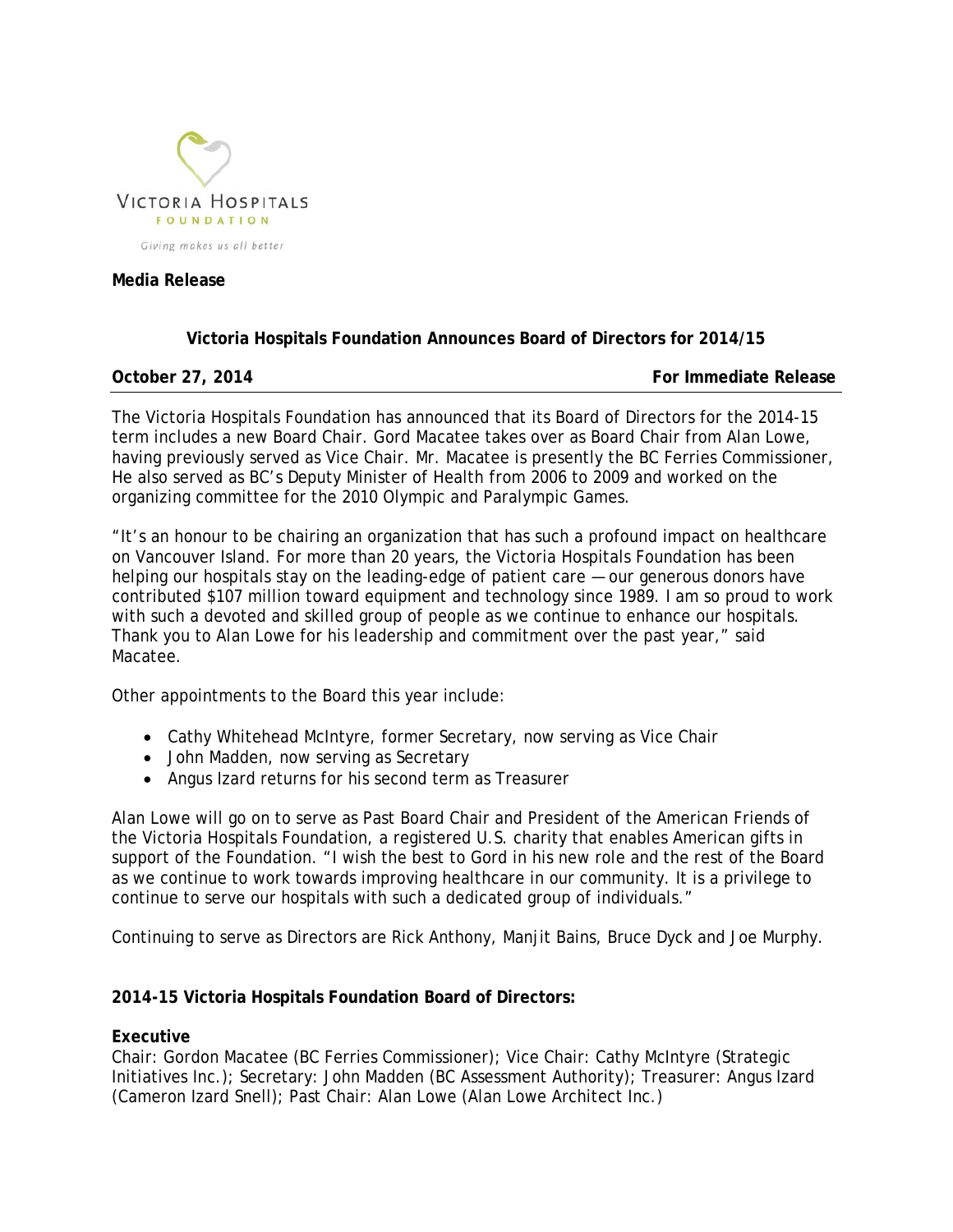

### **Media Release**

# **Victoria Hospitals Foundation Announces Board of Directors for 2014/15**

**October 27, 2014 For Immediate Release** 

The Victoria Hospitals Foundation has announced that its Board of Directors for the 2014-15 term includes a new Board Chair. Gord Macatee takes over as Board Chair from Alan Lowe, having previously served as Vice Chair. Mr. Macatee is presently the BC Ferries Commissioner, He also served as BC's Deputy Minister of Health from 2006 to 2009 and worked on the organizing committee for the 2010 Olympic and Paralympic Games.

"It's an honour to be chairing an organization that has such a profound impact on healthcare on Vancouver Island. For more than 20 years, the Victoria Hospitals Foundation has been helping our hospitals stay on the leading-edge of patient care — our generous donors have contributed \$107 million toward equipment and technology since 1989. I am so proud to work with such a devoted and skilled group of people as we continue to enhance our hospitals. Thank you to Alan Lowe for his leadership and commitment over the past year," said Macatee.

Other appointments to the Board this year include:

- Cathy Whitehead McIntyre, former Secretary, now serving as Vice Chair
- John Madden, now serving as Secretary
- Angus Izard returns for his second term as Treasurer

Alan Lowe will go on to serve as Past Board Chair and President of the American Friends of the Victoria Hospitals Foundation, a registered U.S. charity that enables American gifts in support of the Foundation. "I wish the best to Gord in his new role and the rest of the Board as we continue to work towards improving healthcare in our community. It is a privilege to continue to serve our hospitals with such a dedicated group of individuals."

Continuing to serve as Directors are Rick Anthony, Manjit Bains, Bruce Dyck and Joe Murphy.

## **2014-15 Victoria Hospitals Foundation Board of Directors:**

## **Executive**

Chair: Gordon Macatee (BC Ferries Commissioner); Vice Chair: Cathy McIntyre (Strategic Initiatives Inc.); Secretary: John Madden (BC Assessment Authority); Treasurer: Angus Izard (Cameron Izard Snell); Past Chair: Alan Lowe (Alan Lowe Architect Inc.)